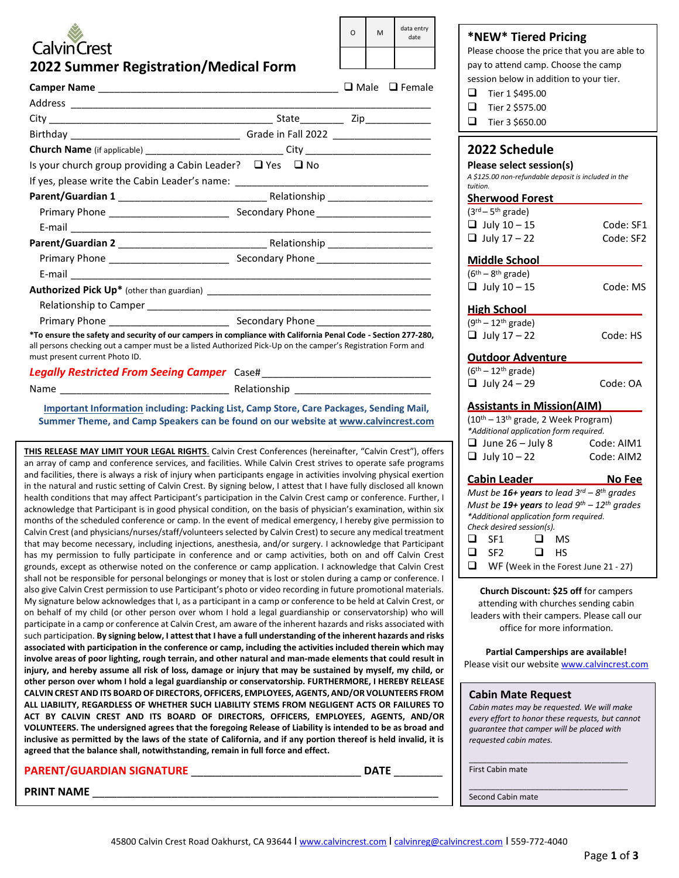# **CalvinCrest**

| ∩ | M | data entry<br>date |
|---|---|--------------------|
|   |   |                    |

### **\*NEW\* Tiered Pricing**

Please choose the price that you are able to pay to attend camp. Choose the camp session below in addition to your tier.

| ❏<br>Tier 2 \$575.00 |  |
|----------------------|--|
|----------------------|--|

| ❏ | Tier 3 \$650.00 |
|---|-----------------|
|---|-----------------|

| 2022 Schedule<br>Please select session(s)<br>A \$125.00 non-refundable deposit is included in the<br>tuition.<br><b>Sherwood Forest</b><br>$\overline{(3^{rd}-5^{th} \text{ grade})}$<br>$\Box$ July 10 - 15<br>$\Box$ July 17 – 22                                                                                                                                       | Code: SF1<br>Code: SF2   |  |  |
|---------------------------------------------------------------------------------------------------------------------------------------------------------------------------------------------------------------------------------------------------------------------------------------------------------------------------------------------------------------------------|--------------------------|--|--|
| <b>Middle School</b><br>$\overline{(6^{th} - 8^{th} \text{ grade})}$<br>$\Box$ July 10 - 15                                                                                                                                                                                                                                                                               | Code: MS                 |  |  |
| <b>High School</b><br>$(9th - 12th$ grade)<br>$\Box$ July 17 - 22                                                                                                                                                                                                                                                                                                         | Code: HS                 |  |  |
| <b>Outdoor Adventure</b><br>$(6th - 12th$ grade)<br>$\Box$ July 24 - 29                                                                                                                                                                                                                                                                                                   | Code: OA                 |  |  |
| <b>Assistants in Mission(AIM)</b><br>(10 <sup>th</sup> - 13 <sup>th</sup> grade, 2 Week Program)<br>*Additional application form required.<br>$\Box$ June 26 - July 8<br>$\Box$ July 10 - 22                                                                                                                                                                              | Code: AIM1<br>Code: AIM2 |  |  |
| <u>Cabin Leader</u><br><u>No Fee</u><br>Must be 16+ years to lead $3^{rd}$ - $8^{th}$ grades<br>Must be 19+ years to lead $9^{th}$ - 12 <sup>th</sup> grades<br>*Additional application form required.<br>Check desired session(s).<br>$\Box$<br>SF <sub>1</sub><br>◻<br>- MS<br>$\Box$<br>SF <sub>2</sub><br>$\Box$ HS<br>$\Box$<br>WF (Week in the Forest June 21 - 27) |                          |  |  |
| Church Discount: \$25 off for campers<br>attending with churches sending cabin<br>leaders with their campers. Please call our<br>office for more information.                                                                                                                                                                                                             |                          |  |  |
| Partial Camperships are available!<br>Please visit our website www.calvincrest.com                                                                                                                                                                                                                                                                                        |                          |  |  |
| <b>Cabin Mate Request</b>                                                                                                                                                                                                                                                                                                                                                 |                          |  |  |

*Cabin mates may be requested. We will make every effort to honor these requests, but cannot guarantee that camper will be placed with requested cabin mates.*

\_\_\_\_\_\_\_\_\_\_\_\_\_\_\_\_\_\_\_\_\_\_\_\_\_\_\_\_\_\_\_\_\_\_\_\_ First Cabin mate

\_\_\_\_\_\_\_\_\_\_\_\_\_\_\_\_\_\_\_\_\_\_\_\_\_\_\_\_\_\_\_\_\_\_\_\_ Second Cabin mate

**2022 Summer Registration/Medical Form**

|                                                                                                                                                                                                                                                                |  | $\Box$ Male $\Box$ Female |
|----------------------------------------------------------------------------------------------------------------------------------------------------------------------------------------------------------------------------------------------------------------|--|---------------------------|
|                                                                                                                                                                                                                                                                |  |                           |
|                                                                                                                                                                                                                                                                |  |                           |
|                                                                                                                                                                                                                                                                |  |                           |
| <b>Church Name</b> (if applicable) ____________________________City ________________________                                                                                                                                                                   |  |                           |
| Is your church group providing a Cabin Leader? $\Box$ Yes $\Box$ No                                                                                                                                                                                            |  |                           |
| If yes, please write the Cabin Leader's name: __________________________________                                                                                                                                                                               |  |                           |
|                                                                                                                                                                                                                                                                |  |                           |
|                                                                                                                                                                                                                                                                |  |                           |
|                                                                                                                                                                                                                                                                |  |                           |
|                                                                                                                                                                                                                                                                |  |                           |
|                                                                                                                                                                                                                                                                |  |                           |
|                                                                                                                                                                                                                                                                |  |                           |
|                                                                                                                                                                                                                                                                |  |                           |
|                                                                                                                                                                                                                                                                |  |                           |
|                                                                                                                                                                                                                                                                |  |                           |
| *To ensure the safety and security of our campers in compliance with California Penal Code - Section 277-280,<br>all persons checking out a camper must be a listed Authorized Pick-Up on the camper's Registration Form and<br>must present current Photo ID. |  |                           |
|                                                                                                                                                                                                                                                                |  |                           |
|                                                                                                                                                                                                                                                                |  |                           |

**Important Information including: Packing List, Camp Store, Care Packages, Sending Mail, Summer Theme, and Camp Speakers can be found on our website at [www.calvincrest.com](http://www.calvincrest.com/)**

**THIS RELEASE MAY LIMIT YOUR LEGAL RIGHTS**. Calvin Crest Conferences (hereinafter, "Calvin Crest"), offers an array of camp and conference services, and facilities. While Calvin Crest strives to operate safe programs and facilities, there is always a risk of injury when participants engage in activities involving physical exertion in the natural and rustic setting of Calvin Crest. By signing below, I attest that I have fully disclosed all known health conditions that may affect Participant's participation in the Calvin Crest camp or conference. Further, I acknowledge that Participant is in good physical condition, on the basis of physician's examination, within six months of the scheduled conference or camp. In the event of medical emergency, I hereby give permission to Calvin Crest (and physicians/nurses/staff/volunteers selected by Calvin Crest) to secure any medical treatment that may become necessary, including injections, anesthesia, and/or surgery. I acknowledge that Participant has my permission to fully participate in conference and or camp activities, both on and off Calvin Crest grounds, except as otherwise noted on the conference or camp application. I acknowledge that Calvin Crest shall not be responsible for personal belongings or money that is lost or stolen during a camp or conference. I also give Calvin Crest permission to use Participant's photo or video recording in future promotional materials. My signature below acknowledges that I, as a participant in a camp or conference to be held at Calvin Crest, or on behalf of my child (or other person over whom I hold a legal guardianship or conservatorship) who will participate in a camp or conference at Calvin Crest, am aware of the inherent hazards and risks associated with such participation. **By signing below, I attest that I have a full understanding of the inherent hazards and risks associated with participation in the conference or camp, including the activities included therein which may involve areas of poor lighting, rough terrain, and other natural and man-made elements that could result in injury, and hereby assume all risk of loss, damage or injury that may be sustained by myself, my child, or other person over whom I hold a legal guardianship or conservatorship. FURTHERMORE, I HEREBY RELEASE CALVIN CREST AND ITS BOARD OF DIRECTORS, OFFICERS, EMPLOYEES, AGENTS, AND/OR VOLUNTEERS FROM ALL LIABILITY, REGARDLESS OF WHETHER SUCH LIABILITY STEMS FROM NEGLIGENT ACTS OR FAILURES TO ACT BY CALVIN CREST AND ITS BOARD OF DIRECTORS, OFFICERS, EMPLOYEES, AGENTS, AND/OR VOLUNTEERS. The undersigned agrees that the foregoing Release of Liability is intended to be as broad and inclusive as permitted by the laws of the state of California, and if any portion thereof is held invalid, it is agreed that the balance shall, notwithstanding, remain in full force and effect.**

## **PARENT/GUARDIAN SIGNATURE** \_\_\_\_\_\_\_\_\_\_\_\_\_\_\_\_\_\_\_\_\_\_\_\_\_\_\_\_ **DATE** \_\_\_\_\_\_\_\_

PRINT NAME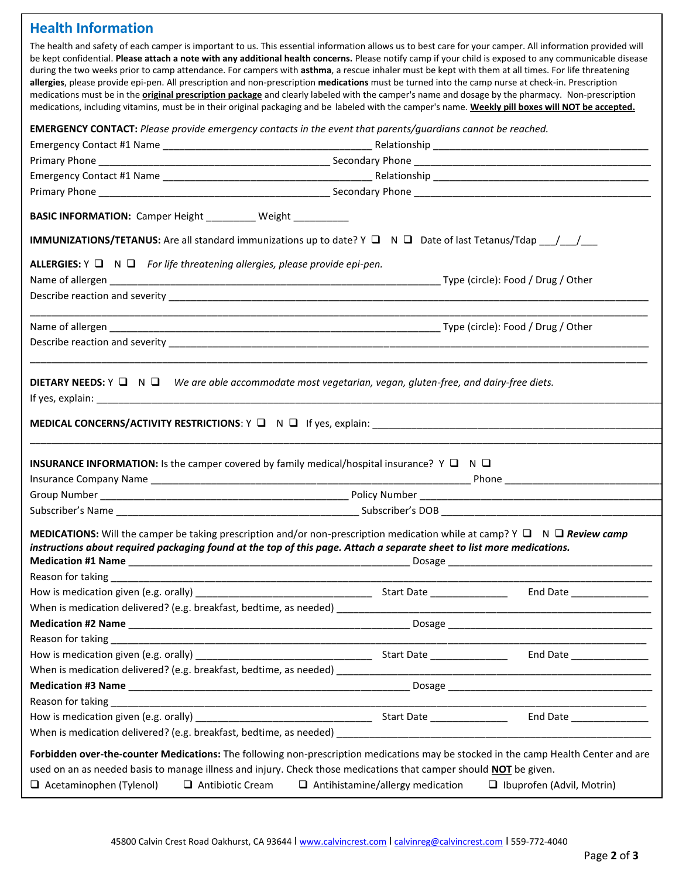# **Health Information**

The health and safety of each camper is important to us. This essential information allows us to best care for your camper. All information provided will be kept confidential. **Please attach a note with any additional health concerns.** Please notify camp if your child is exposed to any communicable disease during the two weeks prior to camp attendance. For campers with **asthma**, a rescue inhaler must be kept with them at all times. For life threatening **allergies**, please provide epi-pen. All prescription and non-prescription **medications** must be turned into the camp nurse at check-in. Prescription medications must be in the **original prescription package** and clearly labeled with the camper's name and dosage by the pharmacy. Non-prescription medications, including vitamins, must be in their original packaging and be labeled with the camper's name. **Weekly pill boxes will NOT be accepted.**

**EMERGENCY CONTACT:** *Please provide emergency contacts in the event that parents/guardians cannot be reached.*

| BASIC INFORMATION: Camper Height _________ Weight __________                                                                                                                                                                                                                                                                           |  |                                                               |  |
|----------------------------------------------------------------------------------------------------------------------------------------------------------------------------------------------------------------------------------------------------------------------------------------------------------------------------------------|--|---------------------------------------------------------------|--|
|                                                                                                                                                                                                                                                                                                                                        |  |                                                               |  |
| ALLERGIES: $Y \square N \square$ For life threatening allergies, please provide epi-pen.                                                                                                                                                                                                                                               |  |                                                               |  |
|                                                                                                                                                                                                                                                                                                                                        |  |                                                               |  |
|                                                                                                                                                                                                                                                                                                                                        |  |                                                               |  |
|                                                                                                                                                                                                                                                                                                                                        |  |                                                               |  |
|                                                                                                                                                                                                                                                                                                                                        |  |                                                               |  |
|                                                                                                                                                                                                                                                                                                                                        |  |                                                               |  |
| <b>DIETARY NEEDS:</b> $Y \square N \square$ We are able accommodate most vegetarian, vegan, gluten-free, and dairy-free diets.                                                                                                                                                                                                         |  |                                                               |  |
|                                                                                                                                                                                                                                                                                                                                        |  |                                                               |  |
|                                                                                                                                                                                                                                                                                                                                        |  |                                                               |  |
|                                                                                                                                                                                                                                                                                                                                        |  |                                                               |  |
|                                                                                                                                                                                                                                                                                                                                        |  |                                                               |  |
|                                                                                                                                                                                                                                                                                                                                        |  |                                                               |  |
|                                                                                                                                                                                                                                                                                                                                        |  |                                                               |  |
|                                                                                                                                                                                                                                                                                                                                        |  |                                                               |  |
|                                                                                                                                                                                                                                                                                                                                        |  |                                                               |  |
| <b>INSURANCE INFORMATION:</b> Is the camper covered by family medical/hospital insurance? $Y \square N \square$                                                                                                                                                                                                                        |  |                                                               |  |
|                                                                                                                                                                                                                                                                                                                                        |  |                                                               |  |
|                                                                                                                                                                                                                                                                                                                                        |  |                                                               |  |
|                                                                                                                                                                                                                                                                                                                                        |  |                                                               |  |
|                                                                                                                                                                                                                                                                                                                                        |  |                                                               |  |
|                                                                                                                                                                                                                                                                                                                                        |  |                                                               |  |
|                                                                                                                                                                                                                                                                                                                                        |  |                                                               |  |
|                                                                                                                                                                                                                                                                                                                                        |  |                                                               |  |
|                                                                                                                                                                                                                                                                                                                                        |  |                                                               |  |
|                                                                                                                                                                                                                                                                                                                                        |  | <u> 1989 - Johann Marie Barn, mars an t-Amerikaansk fersk</u> |  |
|                                                                                                                                                                                                                                                                                                                                        |  |                                                               |  |
|                                                                                                                                                                                                                                                                                                                                        |  |                                                               |  |
|                                                                                                                                                                                                                                                                                                                                        |  |                                                               |  |
| MEDICATIONS: Will the camper be taking prescription and/or non-prescription medication while at camp? Y □ N □ Review camp<br>instructions about required packaging found at the top of this page. Attach a separate sheet to list more medications.<br>Reason for taking ___________<br><b>Medication #2 Name</b><br>Reason for taking |  |                                                               |  |